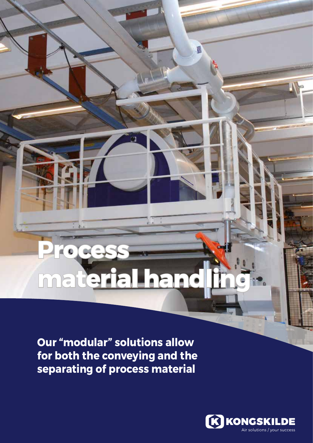# **Process material handling**

N

**Our "modular" solutions allow for both the conveying and the separating of process material**

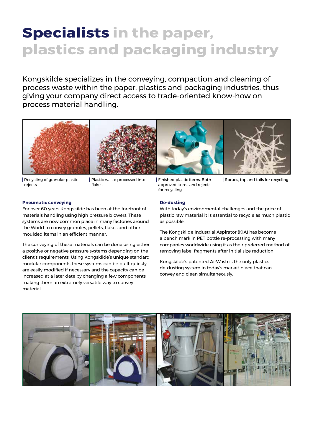## **Specialists in the paper, plastics and packaging industry**

Kongskilde specializes in the conveying, compaction and cleaning of process waste within the paper, plastics and packaging industries, thus giving your company direct access to trade-oriented know-how on process material handling.



Recycling of granular plastic rejects

Plastic waste processed into flakes

Finished plastic items. Both approved items and rejects for recycling

Sprues, top and tails for recycling

### **Pneumatic conveying**

For over 60 years Kongskilde has been at the forefront of materials handling using high pressure blowers. These systems are now common place in many factories around the World to convey granules, pellets, flakes and other moulded items in an efficient manner.

The conveying of these materials can be done using either a positive or negative pressure systems depending on the client's requirements. Using Kongskilde's unique standard modular components these systems can be built quickly, are easily modified if necessary and the capacity can be increased at a later date by changing a few components making them an extremely versatile way to convey material.

### **De-dusting**

With today's environmental challenges and the price of plastic raw material it is essential to recycle as much plastic as possible.

The Kongskilde Industrial Aspirator (KIA) has become a bench mark in PET bottle re-processing with many companies worldwide using it as their preferred method of removing label fragments after initial size reduction.

Kongskilde's patented AirWash is the only plastics de-dusting system in today's market place that can convey and clean simultaneously.

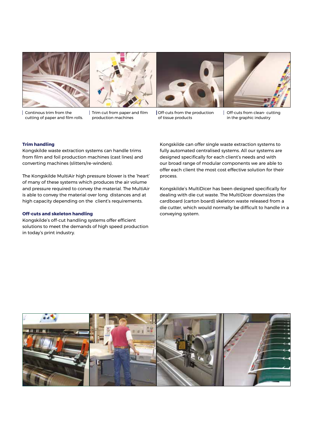

Continous trim from the cutting of paper and film rolls.



Trim cut from paper and film production machines





Off-cuts from the production of tissue products

Off-cuts from clean- cutting in the graphic industry

### **Trim handling**

Kongskilde waste extraction systems can handle trims from film and foil production machines (cast lines) and converting machines (slitters/re-winders).

The Kongskilde MultiAir high pressure blower is the 'heart' of many of these systems which produces the air volume and pressure required to convey the material. The MultiAir is able to convey the material over long distances and at high capacity depending on the client's requirements.

### **Off-cuts and skeleton handling**

Kongskilde's off-cut handling systems offer efficient solutions to meet the demands of high speed production in today's print industry.

Kongskilde can offer single waste extraction systems to fully automated centralised systems. All our systems are designed specifically for each client's needs and with our broad range of modular components we are able to offer each client the most cost effective solution for their process.

Kongskilde's MultiDicer has been designed specifically for dealing with die cut waste. The MultiDicer downsizes the cardboard (carton board) skeleton waste released from a die cutter, which would normally be difficult to handle in a conveying system.